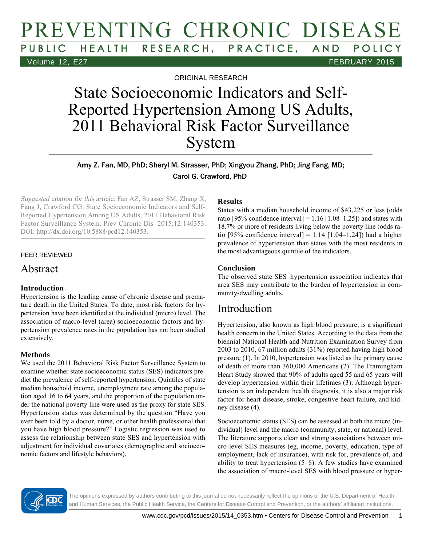# PREVENTING CHRONIC DISEASE HEALTH RESEARCH, PRACTICE, AND POLICY Volume 12, E27 FEBRUARY 2015

ORIGINAL RESEARCH

State Socioeconomic Indicators and Self-Reported Hypertension Among US Adults, 2011 Behavioral Risk Factor Surveillance System

### Amy Z. Fan, MD, PhD; Sheryl M. Strasser, PhD; Xingyou Zhang, PhD; Jing Fang, MD; Carol G. Crawford, PhD

Suggested citation for this article: Fan AZ, Strasser SM, Zhang X, Fang J, Crawford CG. State Socioeconomic Indicators and Self-Reported Hypertension Among US Adults, 2011 Behavioral Risk Factor Surveillance System. Prev Chronic Dis 2015;12:140353. DOI: http://dx.doi.org/10.5888/pcd12.140353.

### PEER REVIEWED

### Abstract

### **Introduction**

Hypertension is the leading cause of chronic disease and premature death in the United States. To date, most risk factors for hypertension have been identified at the individual (micro) level. The association of macro-level (area) socioeconomic factors and hypertension prevalence rates in the population has not been studied extensively.

### **Methods**

We used the 2011 Behavioral Risk Factor Surveillance System to examine whether state socioeconomic status (SES) indicators predict the prevalence of self-reported hypertension. Quintiles of state median household income, unemployment rate among the population aged 16 to 64 years, and the proportion of the population under the national poverty line were used as the proxy for state SES. Hypertension status was determined by the question "Have you ever been told by a doctor, nurse, or other health professional that you have high blood pressure?" Logistic regression was used to assess the relationship between state SES and hypertension with adjustment for individual covariates (demographic and socioeconomic factors and lifestyle behaviors).

### **Results**

States with a median household income of \$43,225 or less (odds ratio [95% confidence interval] =  $1.16$  [1.08–1.25]) and states with 18.7% or more of residents living below the poverty line (odds ratio [95% confidence interval] =  $1.14$  [1.04–1.24]) had a higher prevalence of hypertension than states with the most residents in the most advantageous quintile of the indicators.

### **Conclusion**

The observed state SES–hypertension association indicates that area SES may contribute to the burden of hypertension in community-dwelling adults.

# Introduction

Hypertension, also known as high blood pressure, is a significant health concern in the United States. According to the data from the biennial National Health and Nutrition Examination Survey from 2003 to 2010, 67 million adults (31%) reported having high blood pressure (1). In 2010, hypertension was listed as the primary cause of death of more than 360,000 Americans (2). The Framingham Heart Study showed that 90% of adults aged 55 and 65 years will develop hypertension within their lifetimes (3). Although hypertension is an independent health diagnosis, it is also a major risk factor for heart disease, stroke, congestive heart failure, and kidney disease (4).

Socioeconomic status (SES) can be assessed at both the micro (individual) level and the macro (community, state, or national) level. The literature supports clear and strong associations between micro-level SES measures (eg, income, poverty, education, type of employment, lack of insurance), with risk for, prevalence of, and ability to treat hypertension (5–8). A few studies have examined the association of macro-level SES with blood pressure or hyper-

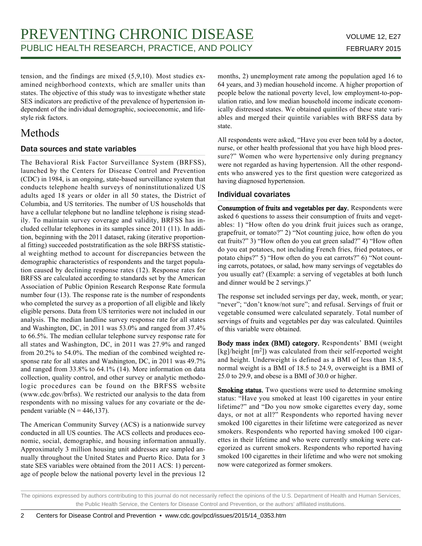tension, and the findings are mixed (5,9,10). Most studies examined neighborhood contexts, which are smaller units than states. The objective of this study was to investigate whether state SES indicators are predictive of the prevalence of hypertension independent of the individual demographic, socioeconomic, and lifestyle risk factors.

# Methods

### Data sources and state variables

The Behavioral Risk Factor Surveillance System (BRFSS), launched by the Centers for Disease Control and Prevention (CDC) in 1984, is an ongoing, state-based surveillance system that conducts telephone health surveys of noninstitutionalized US adults aged 18 years or older in all 50 states, the District of Columbia, and US territories. The number of US households that have a cellular telephone but no landline telephone is rising steadily. To maintain survey coverage and validity, BRFSS has included cellular telephones in its samples since 2011 (11). In addition, beginning with the 2011 dataset, raking (iterative proportional fitting) succeeded poststratification as the sole BRFSS statistical weighting method to account for discrepancies between the demographic characteristics of respondents and the target population caused by declining response rates (12). Response rates for BRFSS are calculated according to standards set by the American Association of Public Opinion Research Response Rate formula number four (13). The response rate is the number of respondents who completed the survey as a proportion of all eligible and likely eligible persons. Data from US territories were not included in our analysis. The median landline survey response rate for all states and Washington, DC, in 2011 was 53.0% and ranged from 37.4% to 66.5%. The median cellular telephone survey response rate for all states and Washington, DC, in 2011 was 27.9% and ranged from 20.2% to 54.0%. The median of the combined weighted response rate for all states and Washington, DC, in 2011 was 49.7% and ranged from 33.8% to 64.1% (14). More information on data collection, quality control, and other survey or analytic methodologic procedures can be found on the BRFSS website (www.cdc.gov/brfss). We restricted our analysis to the data from respondents with no missing values for any covariate or the dependent variable ( $N = 446,137$ ).

The American Community Survey (ACS) is a nationwide survey conducted in all US counties. The ACS collects and produces economic, social, demographic, and housing information annually. Approximately 3 million housing unit addresses are sampled annually throughout the United States and Puerto Rico. Data for 3 state SES variables were obtained from the 2011 ACS: 1) percentage of people below the national poverty level in the previous 12 months, 2) unemployment rate among the population aged 16 to 64 years, and 3) median household income. A higher proportion of people below the national poverty level, low employment-to-population ratio, and low median household income indicate economically distressed states. We obtained quintiles of these state variables and merged their quintile variables with BRFSS data by state.

All respondents were asked, "Have you ever been told by a doctor, nurse, or other health professional that you have high blood pressure?" Women who were hypertensive only during pregnancy were not regarded as having hypertension. All the other respondents who answered yes to the first question were categorized as having diagnosed hypertension.

### Individual covariates

Consumption of fruits and vegetables per day. Respondents were asked 6 questions to assess their consumption of fruits and vegetables: 1) "How often do you drink fruit juices such as orange, grapefruit, or tomato?" 2) "Not counting juice, how often do you eat fruits?" 3) "How often do you eat green salad?" 4) "How often do you eat potatoes, not including French fries, fried potatoes, or potato chips?" 5) "How often do you eat carrots?" 6) "Not counting carrots, potatoes, or salad, how many servings of vegetables do you usually eat? (Example: a serving of vegetables at both lunch and dinner would be 2 servings.)"

The response set included servings per day, week, month, or year; "never"; "don't know/not sure"; and refusal. Servings of fruit or vegetable consumed were calculated separately. Total number of servings of fruits and vegetables per day was calculated. Quintiles of this variable were obtained.

Body mass index (BMI) category. Respondents' BMI (weight [kg]/height [m<sup>2</sup>]) was calculated from their self-reported weight and height. Underweight is defined as a BMI of less than 18.5, normal weight is a BMI of 18.5 to 24.9, overweight is a BMI of 25.0 to 29.9, and obese is a BMI of 30.0 or higher.

Smoking status. Two questions were used to determine smoking status: "Have you smoked at least 100 cigarettes in your entire lifetime?" and "Do you now smoke cigarettes every day, some days, or not at all?" Respondents who reported having never smoked 100 cigarettes in their lifetime were categorized as never smokers. Respondents who reported having smoked 100 cigarettes in their lifetime and who were currently smoking were categorized as current smokers. Respondents who reported having smoked 100 cigarettes in their lifetime and who were not smoking now were categorized as former smokers.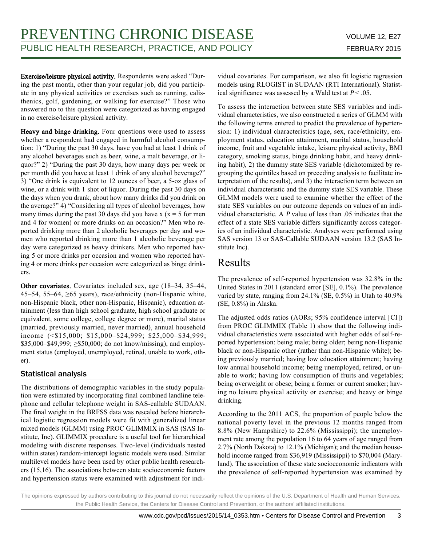Exercise/leisure physical activity. Respondents were asked "During the past month, other than your regular job, did you participate in any physical activities or exercises such as running, calisthenics, golf, gardening, or walking for exercise?" Those who answered no to this question were categorized as having engaged in no exercise/leisure physical activity.

Heavy and binge drinking. Four questions were used to assess whether a respondent had engaged in harmful alcohol consumption: 1) "During the past 30 days, have you had at least 1 drink of any alcohol beverages such as beer, wine, a malt beverage, or liquor?" 2) "During the past 30 days, how many days per week or per month did you have at least 1 drink of any alcohol beverage?" 3) "One drink is equivalent to 12 ounces of beer, a 5-oz glass of wine, or a drink with 1 shot of liquor. During the past 30 days on the days when you drank, about how many drinks did you drink on the average?" 4) "Considering all types of alcohol beverages, how many times during the past 30 days did you have  $x (x = 5$  for men and 4 for women) or more drinks on an occasion?" Men who reported drinking more than 2 alcoholic beverages per day and women who reported drinking more than 1 alcoholic beverage per day were categorized as heavy drinkers. Men who reported having 5 or more drinks per occasion and women who reported having 4 or more drinks per occasion were categorized as binge drinkers.

Other covariates. Covariates included sex, age (18–34, 35–44, 45–54, 55–64,  $\geq 65$  years), race/ethnicity (non-Hispanic white, non-Hispanic black, other non-Hispanic, Hispanic), education attainment (less than high school graduate, high school graduate or equivalent, some college, college degree or more), marital status (married, previously married, never married), annual household income (<\$15,000; \$15,000–\$24,999; \$25,000–\$34,999;  $$35,000–$49,999$ ;  $\geq $50,000$ ; do not know/missing), and employment status (employed, unemployed, retired, unable to work, other).

### Statistical analysis

The distributions of demographic variables in the study population were estimated by incorporating final combined landline telephone and cellular telephone weight in SAS-callable SUDAAN. The final weight in the BRFSS data was rescaled before hierarchical logistic regression models were fit with generalized linear mixed models (GLMM) using PROC GLIMMIX in SAS (SAS Institute, Inc). GLIMMIX procedure is a useful tool for hierarchical modeling with discrete responses. Two-level (individuals nested within states) random-intercept logistic models were used. Similar multilevel models have been used by other public health researchers (15,16). The associations between state socioeconomic factors and hypertension status were examined with adjustment for individual covariates. For comparison, we also fit logistic regression models using RLOGIST in SUDAAN (RTI International). Statistical significance was assessed by a Wald test at  $P < .05$ .

To assess the interaction between state SES variables and individual characteristics, we also constructed a series of GLMM with the following terms entered to predict the prevalence of hypertension: 1) individual characteristics (age, sex, race/ethnicity, employment status, education attainment, marital status, household income, fruit and vegetable intake, leisure physical activity, BMI category, smoking status, binge drinking habit, and heavy drinking habit), 2) the dummy state SES variable (dichotomized by regrouping the quintiles based on preceding analysis to facilitate interpretation of the results), and 3) the interaction term between an individual characteristic and the dummy state SES variable. These GLMM models were used to examine whether the effect of the state SES variables on our outcome depends on values of an individual characteristic. A P value of less than .05 indicates that the effect of a state SES variable differs significantly across categories of an individual characteristic. Analyses were performed using SAS version 13 or SAS-Callable SUDAAN version 13.2 (SAS Institute Inc).

## Results

The prevalence of self-reported hypertension was 32.8% in the United States in 2011 (standard error [SE], 0.1%). The prevalence varied by state, ranging from 24.1% (SE, 0.5%) in Utah to 40.9% (SE, 0.8%) in Alaska.

The adjusted odds ratios (AORs; 95% confidence interval [CI]) from PROC GLIMMIX (Table 1) show that the following individual characteristics were associated with higher odds of self-reported hypertension: being male; being older; being non-Hispanic black or non-Hispanic other (rather than non-Hispanic white); being previously married; having low education attainment; having low annual household income; being unemployed, retired, or unable to work; having low consumption of fruits and vegetables; being overweight or obese; being a former or current smoker; having no leisure physical activity or exercise; and heavy or binge drinking.

According to the 2011 ACS, the proportion of people below the national poverty level in the previous 12 months ranged from 8.8% (New Hampshire) to 22.6% (Mississippi); the unemployment rate among the population 16 to 64 years of age ranged from 2.7% (North Dakota) to 12.1% (Michigan); and the median household income ranged from \$36,919 (Mississippi) to \$70,004 (Maryland). The association of these state socioeconomic indicators with the prevalence of self-reported hypertension was examined by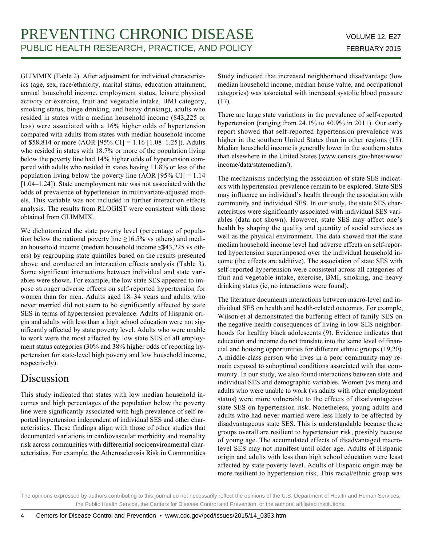GLIMMIX (Table 2). After adjustment for individual characteristics (age, sex, race/ethnicity, marital status, education attainment, annual household income, employment status, leisure physical activity or exercise, fruit and vegetable intake, BMI category, smoking status, binge drinking, and heavy drinking), adults who resided in states with a median household income (\$43,225 or less) were associated with a 16% higher odds of hypertension compared with adults from states with median household income of \$58,814 or more (AOR [95% CI] = 1.16 [1.08–1.25]). Adults who resided in states with 18.7% or more of the population living below the poverty line had 14% higher odds of hypertension compared with adults who resided in states having 11.8% or less of the population living below the poverty line (AOR [95% CI] =  $1.14$ [1.04–1.24]). State unemployment rate was not associated with the odds of prevalence of hypertension in multivariate-adjusted models. This variable was not included in further interaction effects analysis. The results from RLOGIST were consistent with those obtained from GLIMMIX.

We dichotomized the state poverty level (percentage of population below the national poverty line  $\geq 16.5\%$  vs others) and median household income (median household income ≤\$43,225 vs others) by regrouping state quintiles based on the results presented above and conducted an interaction effects analysis (Table 3). Some significant interactions between individual and state variables were shown. For example, the low state SES appeared to impose stronger adverse effects on self-reported hypertension for women than for men. Adults aged 18–34 years and adults who never married did not seem to be significantly affected by state SES in terms of hypertension prevalence. Adults of Hispanic origin and adults with less than a high school education were not significantly affected by state poverty level. Adults who were unable to work were the most affected by low state SES of all employment status categories (30% and 38% higher odds of reporting hypertension for state-level high poverty and low household income, respectively).

# **Discussion**

This study indicated that states with low median household incomes and high percentages of the population below the poverty line were significantly associated with high prevalence of self-reported hypertension independent of individual SES and other characteristics. These findings align with those of other studies that documented variations in cardiovascular morbidity and mortality risk across communities with differential socioenvironmental characteristics. For example, the Atherosclerosis Risk in Communities

Study indicated that increased neighborhood disadvantage (low median household income, median house value, and occupational categories) was associated with increased systolic blood pressure (17).

There are large state variations in the prevalence of self-reported hypertension (ranging from 24.1% to 40.9% in 2011). Our early report showed that self-reported hypertension prevalence was higher in the southern United States than in other regions (18). Median household income is generally lower in the southern states than elsewhere in the United States (www.census.gov/hhes/www/ income/data/statemedian/).

The mechanisms underlying the association of state SES indicators with hypertension prevalence remain to be explored. State SES may influence an individual's health through the association with community and individual SES. In our study, the state SES characteristics were significantly associated with individual SES variables (data not shown). However, state SES may affect one's health by shaping the quality and quantity of social services as well as the physical environment. The data showed that the state median household income level had adverse effects on self-reported hypertension superimposed over the individual household income (the effects are additive). The association of state SES with self-reported hypertension were consistent across all categories of fruit and vegetable intake, exercise, BMI, smoking, and heavy drinking status (ie, no interactions were found).

The literature documents interactions between macro-level and individual SES on health and health-related outcomes. For example, Wilson et al demonstrated the buffering effect of family SES on the negative health consequences of living in low-SES neighborhoods for healthy black adolescents (9). Evidence indicates that education and income do not translate into the same level of financial and housing opportunities for different ethnic groups (19,20). A middle-class person who lives in a poor community may remain exposed to suboptimal conditions associated with that community. In our study, we also found interactions between state and individual SES and demographic variables. Women (vs men) and adults who were unable to work (vs adults with other employment status) were more vulnerable to the effects of disadvantageous state SES on hypertension risk. Nonetheless, young adults and adults who had never married were less likely to be affected by disadvantageous state SES. This is understandable because these groups overall are resilient to hypertension risk, possibly because of young age. The accumulated effects of disadvantaged macrolevel SES may not manifest until older age. Adults of Hispanic origin and adults with less than high school education were least affected by state poverty level. Adults of Hispanic origin may be more resilient to hypertension risk. This racial/ethnic group was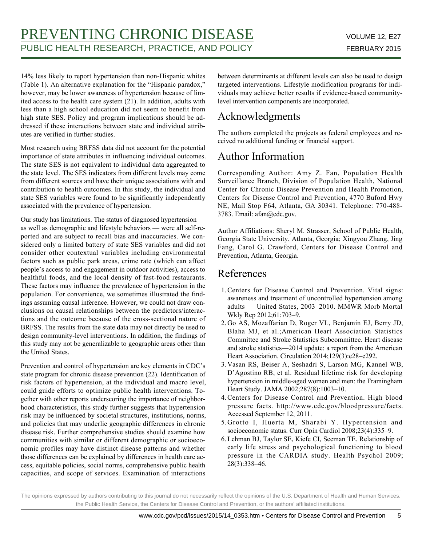14% less likely to report hypertension than non-Hispanic whites (Table 1). An alternative explanation for the "Hispanic paradox," however, may be lower awareness of hypertension because of limited access to the health care system (21). In addition, adults with less than a high school education did not seem to benefit from high state SES. Policy and program implications should be addressed if these interactions between state and individual attributes are verified in further studies.

Most research using BRFSS data did not account for the potential importance of state attributes in influencing individual outcomes. The state SES is not equivalent to individual data aggregated to the state level. The SES indicators from different levels may come from different sources and have their unique associations with and contribution to health outcomes. In this study, the individual and state SES variables were found to be significantly independently associated with the prevalence of hypertension.

Our study has limitations. The status of diagnosed hypertension as well as demographic and lifestyle behaviors — were all self-reported and are subject to recall bias and inaccuracies. We considered only a limited battery of state SES variables and did not consider other contextual variables including environmental factors such as public park areas, crime rate (which can affect people's access to and engagement in outdoor activities), access to healthful foods, and the local density of fast-food restaurants. These factors may influence the prevalence of hypertension in the population. For convenience, we sometimes illustrated the findings assuming causal inference. However, we could not draw conclusions on causal relationships between the predictors/interactions and the outcome because of the cross-sectional nature of BRFSS. The results from the state data may not directly be used to design community-level interventions. In addition, the findings of this study may not be generalizable to geographic areas other than the United States.

Prevention and control of hypertension are key elements in CDC's state program for chronic disease prevention (22). Identification of risk factors of hypertension, at the individual and macro level, could guide efforts to optimize public health interventions. Together with other reports underscoring the importance of neighborhood characteristics, this study further suggests that hypertension risk may be influenced by societal structures, institutions, norms, and policies that may underlie geographic differences in chronic disease risk. Further comprehensive studies should examine how communities with similar or different demographic or socioeconomic profiles may have distinct disease patterns and whether those differences can be explained by differences in health care access, equitable policies, social norms, comprehensive public health capacities, and scope of services. Examination of interactions

between determinants at different levels can also be used to design targeted interventions. Lifestyle modification programs for individuals may achieve better results if evidence-based communitylevel intervention components are incorporated.

# Acknowledgments

The authors completed the projects as federal employees and received no additional funding or financial support.

# Author Information

Corresponding Author: Amy Z. Fan, Population Health Surveillance Branch, Division of Population Health, National Center for Chronic Disease Prevention and Health Promotion, Centers for Disease Control and Prevention, 4770 Buford Hwy NE, Mail Stop F64, Atlanta, GA 30341. Telephone: 770-488- 3783. Email: afan@cdc.gov.

Author Affiliations: Sheryl M. Strasser, School of Public Health, Georgia State University, Atlanta, Georgia; Xingyou Zhang, Jing Fang, Carol G. Crawford, Centers for Disease Control and Prevention, Atlanta, Georgia.

# References

- Centers for Disease Control and Prevention. Vital signs: 1. awareness and treatment of uncontrolled hypertension among adults — United States, 2003–2010. MMWR Morb Mortal Wkly Rep 2012;61:703–9.
- 2. Go AS, Mozaffarian D, Roger VL, Benjamin EJ, Berry JD, Blaha MJ, et al.;American Heart Association Statistics Committee and Stroke Statistics Subcommittee. Heart disease and stroke statistics—2014 update: a report from the American Heart Association. Circulation 2014;129(3):e28–e292.
- 3. Vasan RS, Beiser A, Seshadri S, Larson MG, Kannel WB, D'Agostino RB, et al. Residual lifetime risk for developing hypertension in middle-aged women and men: the Framingham Heart Study. JAMA 2002;287(8):1003–10.
- Centers for Disease Control and Prevention. High blood 4. pressure facts. http://www.cdc.gov/bloodpressure/facts. Accessed September 12, 2011.
- 5. Grotto I, Huerta M, Sharabi Y. Hypertension and socioeconomic status. Curr Opin Cardiol 2008;23(4):335–9.
- Lehman BJ, Taylor SE, Kiefe CI, Seeman TE. Relationship of 6. early life stress and psychological functioning to blood pressure in the CARDIA study. Health Psychol 2009; 28(3):338–46.

The opinions expressed by authors contributing to this journal do not necessarily reflect the opinions of the U.S. Department of Health and Human Services, the Public Health Service, the Centers for Disease Control and Prevention, or the authors' affiliated institutions.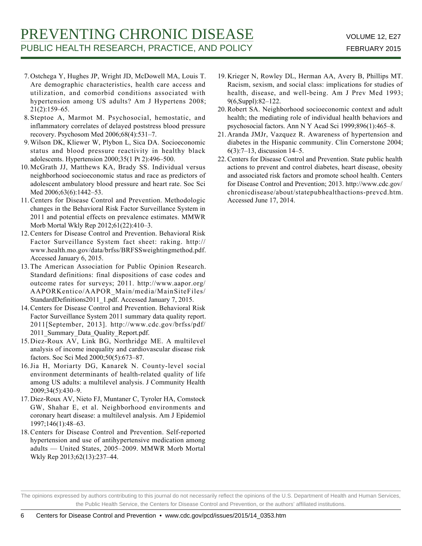# PREVENTING CHRONIC DISEASE VOLUME 12, E27 PUBLIC HEALTH RESEARCH, PRACTICE, AND POLICY FEBRUARY 2015

- 7. Ostchega Y, Hughes JP, Wright JD, McDowell MA, Louis T. Are demographic characteristics, health care access and utilization, and comorbid conditions associated with hypertension among US adults? Am J Hypertens 2008; 21(2):159–65.
- 8. Steptoe A, Marmot M. Psychosocial, hemostatic, and inflammatory correlates of delayed poststress blood pressure recovery. Psychosom Med 2006;68(4):531–7.
- Wilson DK, Kliewer W, Plybon L, Sica DA. Socioeconomic 9. status and blood pressure reactivity in healthy black adolescents. Hypertension 2000;35(1 Pt 2):496–500.
- McGrath JJ, Matthews KA, Brady SS. Individual versus 10. neighborhood socioeconomic status and race as predictors of adolescent ambulatory blood pressure and heart rate. Soc Sci Med 2006;63(6):1442–53.
- 11. Centers for Disease Control and Prevention. Methodologic changes in the Behavioral Risk Factor Surveillance System in 2011 and potential effects on prevalence estimates. MMWR Morb Mortal Wkly Rep 2012;61(22):410–3.
- 12. Centers for Disease Control and Prevention. Behavioral Risk Factor Surveillance System fact sheet: raking. http:// www.health.mo.gov/data/brfss/BRFSSweightingmethod.pdf. Accessed January 6, 2015.
- 13. The American Association for Public Opinion Research. Standard definitions: final dispositions of case codes and outcome rates for surveys; 2011. http://www.aapor.org/ AAPORKentico/AAPOR\_Main/media/MainSiteFiles/ StandardDefinitions2011\_1.pdf. Accessed January 7, 2015.
- 14. Centers for Disease Control and Prevention. Behavioral Risk Factor Surveillance System 2011 summary data quality report. 2011[September, 2013]. http://www.cdc.gov/brfss/pdf/ 2011 Summary Data Quality Report.pdf.
- 15. Diez-Roux AV, Link BG, Northridge ME. A multilevel analysis of income inequality and cardiovascular disease risk factors. Soc Sci Med 2000;50(5):673–87.
- 16. Jia H, Moriarty DG, Kanarek N. County-level social environment determinants of health-related quality of life among US adults: a multilevel analysis. J Community Health 2009;34(5):430–9.
- 17. Diez-Roux AV, Nieto FJ, Muntaner C, Tyroler HA, Comstock GW, Shahar E, et al. Neighborhood environments and coronary heart disease: a multilevel analysis. Am J Epidemiol 1997;146(1):48–63.
- 18. Centers for Disease Control and Prevention. Self-reported hypertension and use of antihypertensive medication among adults — United States, 2005–2009. MMWR Morb Mortal Wkly Rep 2013;62(13):237–44.
- 19. Krieger N, Rowley DL, Herman AA, Avery B, Phillips MT. Racism, sexism, and social class: implications for studies of health, disease, and well-being. Am J Prev Med 1993; 9(6,Suppl):82–122.
- 20. Robert SA. Neighborhood socioeconomic context and adult health; the mediating role of individual health behaviors and psychosocial factors. Ann N Y Acad Sci 1999;896(1):465–8.
- 21. Aranda JMJr, Vazquez R. Awareness of hypertension and diabetes in the Hispanic community. Clin Cornerstone 2004; 6(3):7–13, discussion 14–5.
- 22. Centers for Disease Control and Prevention. State public health actions to prevent and control diabetes, heart disease, obesity and associated risk factors and promote school health. Centers for Disease Control and Prevention; 2013. http://www.cdc.gov/ chronicdisease/about/statepubhealthactions-prevcd.htm. Accessed June 17, 2014.

The opinions expressed by authors contributing to this journal do not necessarily reflect the opinions of the U.S. Department of Health and Human Services, the Public Health Service, the Centers for Disease Control and Prevention, or the authors' affiliated institutions.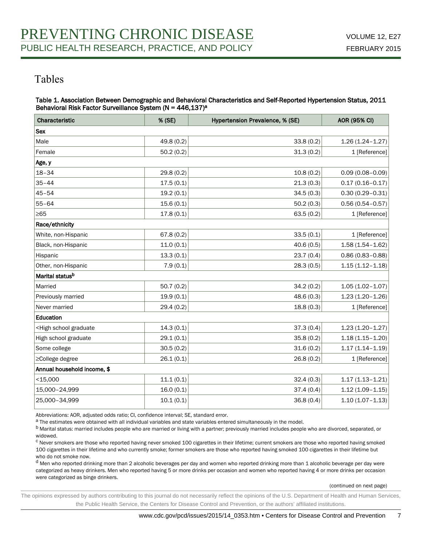# Tables

#### Table 1. Association Between Demographic and Behavioral Characteristics and Self-Reported Hypertension Status, 2011 Behavioral Risk Factor Surveillance System ( $N = 446,137$ )<sup>a</sup>

| Characteristic                                                                                                        | % (SE)     | Hypertension Prevalence, % (SE) | <b>AOR (95% CI)</b> |  |  |  |
|-----------------------------------------------------------------------------------------------------------------------|------------|---------------------------------|---------------------|--|--|--|
| <b>Sex</b>                                                                                                            |            |                                 |                     |  |  |  |
| Male                                                                                                                  | 49.8 (0.2) | 33.8(0.2)                       | $1.26(1.24 - 1.27)$ |  |  |  |
| Female                                                                                                                | 50.2(0.2)  | 31.3(0.2)                       | 1 [Reference]       |  |  |  |
| Age, y                                                                                                                |            |                                 |                     |  |  |  |
| $18 - 34$                                                                                                             | 29.8 (0.2) | 10.8(0.2)                       | $0.09(0.08 - 0.09)$ |  |  |  |
| $35 - 44$                                                                                                             | 17.5(0.1)  | 21.3(0.3)                       | $0.17(0.16 - 0.17)$ |  |  |  |
| $45 - 54$                                                                                                             | 19.2(0.1)  | 34.5(0.3)                       | $0.30(0.29 - 0.31)$ |  |  |  |
| 55-64                                                                                                                 | 15.6(0.1)  | 50.2(0.3)                       | $0.56(0.54 - 0.57)$ |  |  |  |
| $\geq 65$                                                                                                             | 17.8(0.1)  | 63.5(0.2)                       | 1 [Reference]       |  |  |  |
| Race/ethnicity                                                                                                        |            |                                 |                     |  |  |  |
| White, non-Hispanic                                                                                                   | 67.8(0.2)  | 33.5(0.1)                       | 1 [Reference]       |  |  |  |
| Black, non-Hispanic                                                                                                   | 11.0(0.1)  | 40.6(0.5)                       | $1.58(1.54 - 1.62)$ |  |  |  |
| Hispanic                                                                                                              | 13.3(0.1)  | 23.7(0.4)                       | $0.86(0.83 - 0.88)$ |  |  |  |
| Other, non-Hispanic                                                                                                   | 7.9(0.1)   | 28.3(0.5)                       | $1.15(1.12 - 1.18)$ |  |  |  |
| Marital status <sup>b</sup>                                                                                           |            |                                 |                     |  |  |  |
| Married                                                                                                               | 50.7(0.2)  | 34.2(0.2)                       | $1.05(1.02 - 1.07)$ |  |  |  |
| Previously married                                                                                                    | 19.9(0.1)  | 48.6 (0.3)                      | $1.23(1.20 - 1.26)$ |  |  |  |
| Never married                                                                                                         | 29.4(0.2)  | 18.8(0.3)                       | 1 [Reference]       |  |  |  |
| Education                                                                                                             |            |                                 |                     |  |  |  |
| <high graduate<="" school="" td=""><td>14.3(0.1)</td><td>37.3(0.4)</td><td><math>1.23(1.20 - 1.27)</math></td></high> | 14.3(0.1)  | 37.3(0.4)                       | $1.23(1.20 - 1.27)$ |  |  |  |
| High school graduate                                                                                                  | 29.1(0.1)  | 35.8(0.2)                       | $1.18(1.15 - 1.20)$ |  |  |  |
| Some college                                                                                                          | 30.5(0.2)  | 31.6(0.2)                       | $1.17(1.14 - 1.19)$ |  |  |  |
| ≥College degree                                                                                                       | 26.1(0.1)  | 26.8(0.2)                       | 1 [Reference]       |  |  |  |
| Annual household income, \$                                                                                           |            |                                 |                     |  |  |  |
| $<$ 15,000                                                                                                            | 11.1(0.1)  | 32.4(0.3)                       | $1.17(1.13 - 1.21)$ |  |  |  |
| 15,000-24,999                                                                                                         | 16.0(0.1)  | 37.4(0.4)                       | $1.12(1.09 - 1.15)$ |  |  |  |
| 25,000-34,999                                                                                                         | 10.1(0.1)  | 36.8(0.4)                       | $1.10(1.07 - 1.13)$ |  |  |  |

Abbreviations: AOR, adjusted odds ratio; CI, confidence interval; SE, standard error.

a The estimates were obtained with all individual variables and state variables entered simultaneously in the model.

b Marital status: married includes people who are married or living with a partner; previously married includes people who are divorced, separated, or widowed.

<sup>c</sup> Never smokers are those who reported having never smoked 100 cigarettes in their lifetime; current smokers are those who reported having smoked 100 cigarettes in their lifetime and who currently smoke; former smokers are those who reported having smoked 100 cigarettes in their lifetime but who do not smoke now.

<sup>d</sup> Men who reported drinking more than 2 alcoholic beverages per day and women who reported drinking more than 1 alcoholic beverage per day were categorized as heavy drinkers. Men who reported having 5 or more drinks per occasion and women who reported having 4 or more drinks per occasion were categorized as binge drinkers.

(continued on next page)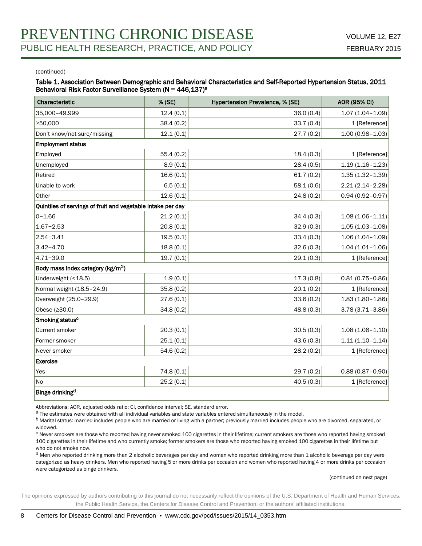#### Table 1. Association Between Demographic and Behavioral Characteristics and Self-Reported Hypertension Status, 2011 Behavioral Risk Factor Surveillance System ( $N = 446,137$ )<sup>a</sup>

| Characteristic                                              | % (SE)    | Hypertension Prevalence, % (SE) | AOR (95% CI)        |  |  |  |
|-------------------------------------------------------------|-----------|---------------------------------|---------------------|--|--|--|
| 35,000-49,999                                               | 12.4(0.1) | 36.0(0.4)                       | $1.07(1.04 - 1.09)$ |  |  |  |
| ≥50,000                                                     | 38.4(0.2) | 33.7(0.4)                       | 1 [Reference]       |  |  |  |
| Don't know/not sure/missing                                 | 12.1(0.1) | 27.7(0.2)                       | $1.00(0.98 - 1.03)$ |  |  |  |
| <b>Employment status</b>                                    |           |                                 |                     |  |  |  |
| Employed                                                    | 55.4(0.2) | 18.4(0.3)                       | 1 [Reference]       |  |  |  |
| Unemployed                                                  | 8.9(0.1)  | 28.4(0.5)                       | $1.19(1.16 - 1.23)$ |  |  |  |
| Retired                                                     | 16.6(0.1) | 61.7(0.2)                       | $1.35(1.32 - 1.39)$ |  |  |  |
| Unable to work                                              | 6.5(0.1)  | 58.1(0.6)                       | $2.21(2.14 - 2.28)$ |  |  |  |
| Other                                                       | 12.6(0.1) | 24.8(0.2)                       | $0.94(0.92 - 0.97)$ |  |  |  |
| Quintiles of servings of fruit and vegetable intake per day |           |                                 |                     |  |  |  |
| $0 - 1.66$                                                  | 21.2(0.1) | 34.4(0.3)                       | $1.08(1.06 - 1.11)$ |  |  |  |
| $1.67 - 2.53$                                               | 20.8(0.1) | 32.9(0.3)                       | $1.05(1.03 - 1.08)$ |  |  |  |
| $2.54 - 3.41$                                               | 19.5(0.1) | 33.4(0.3)                       | $1.06(1.04 - 1.09)$ |  |  |  |
| $3.42 - 4.70$                                               | 18.8(0.1) | 32.6(0.3)                       | $1.04(1.01 - 1.06)$ |  |  |  |
| $4.71 - 39.0$                                               | 19.7(0.1) | 29.1(0.3)                       | 1 [Reference]       |  |  |  |
| Body mass index category (kg/m <sup>2</sup> )               |           |                                 |                     |  |  |  |
| Underweight (<18.5)                                         | 1.9(0.1)  | 17.3(0.8)                       | $0.81(0.75 - 0.86)$ |  |  |  |
| Normal weight (18.5-24.9)                                   | 35.8(0.2) | 20.1(0.2)                       | 1 [Reference]       |  |  |  |
| Overweight (25.0-29.9)                                      | 27.6(0.1) | 33.6(0.2)                       | $1.83(1.80 - 1.86)$ |  |  |  |
| Obese $(\geq 30.0)$                                         | 34.8(0.2) | 48.8 (0.3)                      | $3.78(3.71 - 3.86)$ |  |  |  |
| Smoking status <sup>c</sup>                                 |           |                                 |                     |  |  |  |
| Current smoker                                              | 20.3(0.1) | 30.5(0.3)                       | $1.08(1.06 - 1.10)$ |  |  |  |
| Former smoker                                               | 25.1(0.1) | 43.6(0.3)                       | $1.11(1.10 - 1.14)$ |  |  |  |
| Never smoker                                                | 54.6(0.2) | 28.2(0.2)                       | 1 [Reference]       |  |  |  |
| <b>Exercise</b>                                             |           |                                 |                     |  |  |  |
| Yes                                                         | 74.8(0.1) | 29.7 (0.2)                      | $0.88(0.87 - 0.90)$ |  |  |  |
| No                                                          | 25.2(0.1) | 40.5(0.3)                       | 1 [Reference]       |  |  |  |
| Binge drinking <sup>d</sup>                                 |           |                                 |                     |  |  |  |

Abbreviations: AOR, adjusted odds ratio; CI, confidence interval; SE, standard error.

a The estimates were obtained with all individual variables and state variables entered simultaneously in the model.

b Marital status: married includes people who are married or living with a partner; previously married includes people who are divorced, separated, or widowed.

<sup>c</sup> Never smokers are those who reported having never smoked 100 cigarettes in their lifetime; current smokers are those who reported having smoked 100 cigarettes in their lifetime and who currently smoke; former smokers are those who reported having smoked 100 cigarettes in their lifetime but who do not smoke now.

<sup>d</sup> Men who reported drinking more than 2 alcoholic beverages per day and women who reported drinking more than 1 alcoholic beverage per day were categorized as heavy drinkers. Men who reported having 5 or more drinks per occasion and women who reported having 4 or more drinks per occasion were categorized as binge drinkers.

(continued on next page)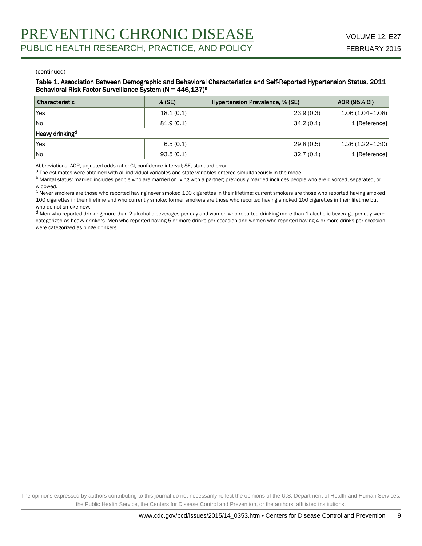#### Table 1. Association Between Demographic and Behavioral Characteristics and Self-Reported Hypertension Status, 2011 Behavioral Risk Factor Surveillance System ( $N = 446,137$ )<sup>a</sup>

| Characteristic              | % (SE)    | Hypertension Prevalence, % (SE) | AOR (95% CI)        |  |  |  |
|-----------------------------|-----------|---------------------------------|---------------------|--|--|--|
| Yes                         | 18.1(0.1) | 23.9(0.3)                       | $1.06(1.04 - 1.08)$ |  |  |  |
| l No                        | 81.9(0.1) | 34.2(0.1)                       | $1$ [Reference]     |  |  |  |
| Heavy drinking <sup>d</sup> |           |                                 |                     |  |  |  |
| Yes                         | 6.5(0.1)  | 29.8(0.5)                       | $1.26(1.22 - 1.30)$ |  |  |  |
| l No                        | 93.5(0.1) | 32.7(0.1)                       | $1$ [Reference]     |  |  |  |

Abbreviations: AOR, adjusted odds ratio; CI, confidence interval; SE, standard error.

a The estimates were obtained with all individual variables and state variables entered simultaneously in the model.

b Marital status: married includes people who are married or living with a partner; previously married includes people who are divorced, separated, or widowed.

<sup>c</sup> Never smokers are those who reported having never smoked 100 cigarettes in their lifetime; current smokers are those who reported having smoked 100 cigarettes in their lifetime and who currently smoke; former smokers are those who reported having smoked 100 cigarettes in their lifetime but who do not smoke now.

<sup>d</sup> Men who reported drinking more than 2 alcoholic beverages per day and women who reported drinking more than 1 alcoholic beverage per day were categorized as heavy drinkers. Men who reported having 5 or more drinks per occasion and women who reported having 4 or more drinks per occasion were categorized as binge drinkers.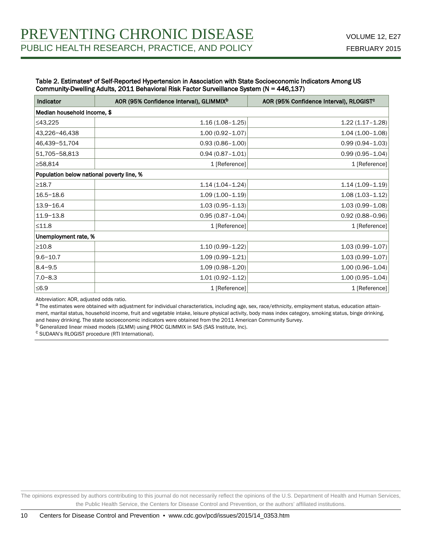### Table 2. Estimates<sup>a</sup> of Self-Reported Hypertension in Association with State Socioeconomic Indicators Among US Community-Dwelling Adults, 2011 Behavioral Risk Factor Surveillance System (N = 446,137)

| Indicator                                 | AOR (95% Confidence Interval), GLIMMIX <sup>b</sup> | AOR (95% Confidence Interval), RLOGIST <sup>c</sup> |  |  |  |
|-------------------------------------------|-----------------------------------------------------|-----------------------------------------------------|--|--|--|
| Median household income, \$               |                                                     |                                                     |  |  |  |
| ≤43,225                                   | $1.16(1.08 - 1.25)$                                 | $1.22(1.17 - 1.28)$                                 |  |  |  |
| 43,226-46,438                             | $1.00(0.92 - 1.07)$                                 | $1.04(1.00 - 1.08)$                                 |  |  |  |
| 46,439-51,704                             | $0.93(0.86 - 1.00)$                                 | $0.99(0.94 - 1.03)$                                 |  |  |  |
| 51,705-58,813                             | $0.94(0.87 - 1.01)$                                 | $0.99(0.95 - 1.04)$                                 |  |  |  |
| ≥58,814                                   | 1 [Reference]                                       | 1 [Reference]                                       |  |  |  |
| Population below national poverty line, % |                                                     |                                                     |  |  |  |
| $\geq 18.7$                               | $1.14(1.04 - 1.24)$                                 | $1.14(1.09 - 1.19)$                                 |  |  |  |
| $16.5 - 18.6$                             | $1.09(1.00 - 1.19)$                                 | $1.08(1.03 - 1.12)$                                 |  |  |  |
| $13.9 - 16.4$                             | $1.03(0.95 - 1.13)$                                 | $1.03(0.99 - 1.08)$                                 |  |  |  |
| $11.9 - 13.8$                             | $0.95(0.87 - 1.04)$                                 | $0.92(0.88 - 0.96)$                                 |  |  |  |
| $\leq$ 11.8                               | 1 [Reference]                                       | 1 [Reference]                                       |  |  |  |
| Unemployment rate, %                      |                                                     |                                                     |  |  |  |
| $\geq 10.8$                               | $1.10(0.99 - 1.22)$                                 | $1.03(0.99 - 1.07)$                                 |  |  |  |
| $9.6 - 10.7$                              | $1.09(0.99 - 1.21)$                                 | $1.03(0.99 - 1.07)$                                 |  |  |  |
| $8.4 - 9.5$                               | $1.09(0.98 - 1.20)$                                 | $1.00(0.96 - 1.04)$                                 |  |  |  |
| $7.0 - 8.3$                               | $1.01(0.92 - 1.12)$                                 | $1.00(0.95 - 1.04)$                                 |  |  |  |
| $≤6.9$                                    | 1 [Reference]                                       | 1 [Reference]                                       |  |  |  |

Abbreviation: AOR, adjusted odds ratio.

a The estimates were obtained with adjustment for individual characteristics, including age, sex, race/ethnicity, employment status, education attainment, marital status, household income, fruit and vegetable intake, leisure physical activity, body mass index category, smoking status, binge drinking, and heavy drinking. The state socioeconomic indicators were obtained from the 2011 American Community Survey.

<sup>b</sup> Generalized linear mixed models (GLMM) using PROC GLIMMIX in SAS (SAS Institute, Inc).

c SUDAAN's RLOGIST procedure (RTI International).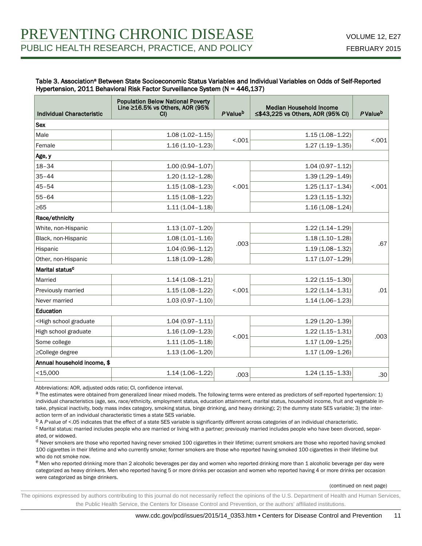#### Table 3. Association<sup>a</sup> Between State Socioeconomic Status Variables and Individual Variables on Odds of Self-Reported Hypertension, 2011 Behavioral Risk Factor Surveillance System (N = 446,137)

| <b>Individual Characteristic</b>                                                                                                                           | <b>Population Below National Poverty</b><br>Line $\geq$ 16.5% vs Others, AOR (95%<br>CI) | P Value <sup>b</sup> | <b>Median Household Income</b><br>≤\$43,225 vs Others, AOR (95% CI) | <b>P</b> Value <sup>b</sup> |
|------------------------------------------------------------------------------------------------------------------------------------------------------------|------------------------------------------------------------------------------------------|----------------------|---------------------------------------------------------------------|-----------------------------|
| <b>Sex</b>                                                                                                                                                 |                                                                                          |                      |                                                                     |                             |
| Male                                                                                                                                                       | $1.08(1.02 - 1.15)$                                                                      |                      | $1.15(1.08 - 1.22)$                                                 | < .001                      |
| Female                                                                                                                                                     | $1.16(1.10 - 1.23)$                                                                      | < .001               | $1.27(1.19 - 1.35)$                                                 |                             |
| Age, y                                                                                                                                                     |                                                                                          |                      |                                                                     |                             |
| $18 - 34$                                                                                                                                                  | $1.00(0.94 - 1.07)$                                                                      |                      | $1.04(0.97 - 1.12)$                                                 | < .001                      |
| $35 - 44$                                                                                                                                                  | $1.20(1.12 - 1.28)$                                                                      |                      | $1.39(1.29 - 1.49)$                                                 |                             |
| 45-54                                                                                                                                                      | $1.15(1.08 - 1.23)$                                                                      | < .001               | $1.25(1.17 - 1.34)$                                                 |                             |
| 55-64                                                                                                                                                      | $1.15(1.08 - 1.22)$                                                                      |                      | $1.23(1.15 - 1.32)$                                                 |                             |
| ≥65                                                                                                                                                        | $1.11(1.04 - 1.18)$                                                                      |                      | $1.16(1.08 - 1.24)$                                                 |                             |
| Race/ethnicity                                                                                                                                             |                                                                                          |                      |                                                                     |                             |
| White, non-Hispanic                                                                                                                                        | $1.13(1.07 - 1.20)$                                                                      |                      | $1.22(1.14 - 1.29)$                                                 | .67                         |
| Black, non-Hispanic                                                                                                                                        | $1.08(1.01 - 1.16)$                                                                      | .003                 | $1.18(1.10 - 1.28)$                                                 |                             |
| Hispanic                                                                                                                                                   | $1.04(0.96 - 1.12)$                                                                      |                      | $1.19(1.08 - 1.32)$                                                 |                             |
| Other, non-Hispanic                                                                                                                                        | $1.18(1.09 - 1.28)$                                                                      |                      | $1.17(1.07 - 1.29)$                                                 |                             |
| Marital status <sup>c</sup>                                                                                                                                |                                                                                          |                      |                                                                     |                             |
| Married                                                                                                                                                    | $1.14(1.08 - 1.21)$                                                                      |                      | $1.22(1.15 - 1.30)$                                                 |                             |
| Previously married                                                                                                                                         | $1.15(1.08 - 1.22)$                                                                      | < .001               | $1.22(1.14 - 1.31)$                                                 | .01                         |
| Never married                                                                                                                                              | $1.03(0.97 - 1.10)$                                                                      |                      | $1.14(1.06 - 1.23)$                                                 |                             |
| Education                                                                                                                                                  |                                                                                          |                      |                                                                     |                             |
| <high graduate<="" school="" td=""><td><math>1.04(0.97 - 1.11)</math></td><td></td><td><math>1.29(1.20 - 1.39)</math></td><td rowspan="4">.003</td></high> | $1.04(0.97 - 1.11)$                                                                      |                      | $1.29(1.20 - 1.39)$                                                 | .003                        |
| High school graduate                                                                                                                                       | $1.16(1.09 - 1.23)$                                                                      | < .001               | $1.22(1.15 - 1.31)$                                                 |                             |
| Some college                                                                                                                                               | $1.11(1.05 - 1.18)$                                                                      |                      | $1.17(1.09 - 1.25)$                                                 |                             |
| ≥College degree                                                                                                                                            | $1.13(1.06 - 1.20)$                                                                      |                      | $1.17(1.09 - 1.26)$                                                 |                             |
| Annual household income, \$                                                                                                                                |                                                                                          |                      |                                                                     |                             |
| $<$ 15,000                                                                                                                                                 | $1.14(1.06 - 1.22)$                                                                      | .003                 | $1.24(1.15 - 1.33)$                                                 | .30                         |
|                                                                                                                                                            |                                                                                          |                      |                                                                     |                             |

Abbreviations: AOR, adjusted odds ratio; CI, confidence interval.

a The estimates were obtained from generalized linear mixed models. The following terms were entered as predictors of self-reported hypertension: 1) individual characteristics (age, sex, race/ethnicity, employment status, education attainment, marital status, household income, fruit and vegetable intake, physical inactivity, body mass index category, smoking status, binge drinking, and heavy drinking); 2) the dummy state SES variable; 3) the interaction term of an individual characteristic times a state SES variable.

<sup>b</sup> A P value of <.05 indicates that the effect of a state SES variable is significantly different across categories of an individual characteristic.

<sup>c</sup> Marital status: married includes people who are married or living with a partner; previously married includes people who have been divorced, separated, or widowed.

<sup>d</sup> Never smokers are those who reported having never smoked 100 cigarettes in their lifetime; current smokers are those who reported having smoked 100 cigarettes in their lifetime and who currently smoke; former smokers are those who reported having smoked 100 cigarettes in their lifetime but who do not smoke now.

e Men who reported drinking more than 2 alcoholic beverages per day and women who reported drinking more than 1 alcoholic beverage per day were categorized as heavy drinkers. Men who reported having 5 or more drinks per occasion and women who reported having 4 or more drinks per occasion were categorized as binge drinkers.

(continued on next page)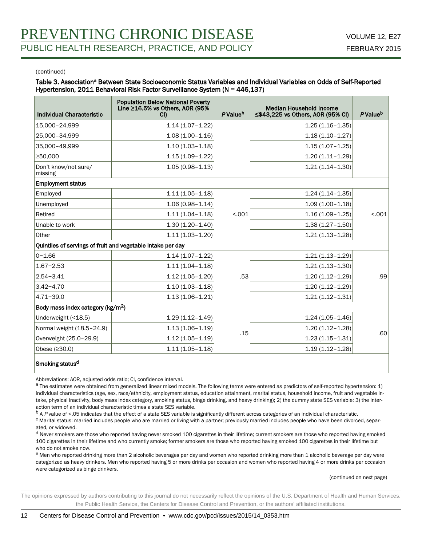#### Table 3. Association<sup>a</sup> Between State Socioeconomic Status Variables and Individual Variables on Odds of Self-Reported Hypertension, 2011 Behavioral Risk Factor Surveillance System (N = 446,137)

| <b>Individual Characteristic</b>                            | <b>Population Below National Poverty</b><br>Line $\geq$ 16.5% vs Others, AOR (95%<br>CI | P Value <sup>b</sup> | <b>Median Household Income</b><br>≤\$43,225 vs Others, AOR (95% CI) | <b>P</b> Value <sup>b</sup> |  |  |
|-------------------------------------------------------------|-----------------------------------------------------------------------------------------|----------------------|---------------------------------------------------------------------|-----------------------------|--|--|
| 15,000-24,999                                               | $1.14(1.07 - 1.22)$                                                                     |                      | $1.25(1.16 - 1.35)$                                                 |                             |  |  |
| 25,000-34,999                                               | $1.08(1.00 - 1.16)$                                                                     |                      | $1.18(1.10 - 1.27)$                                                 |                             |  |  |
| 35.000-49.999                                               | $1.10(1.03 - 1.18)$                                                                     |                      | $1.15(1.07 - 1.25)$                                                 |                             |  |  |
| ≥50.000                                                     | $1.15(1.09 - 1.22)$                                                                     |                      | $1.20(1.11 - 1.29)$                                                 |                             |  |  |
| Don't know/not sure/<br>missing                             | $1.05(0.98 - 1.13)$                                                                     |                      | $1.21(1.14 - 1.30)$                                                 |                             |  |  |
| <b>Employment status</b>                                    |                                                                                         |                      |                                                                     |                             |  |  |
| Employed                                                    | $1.11(1.05 - 1.18)$                                                                     |                      | $1.24(1.14 - 1.35)$                                                 |                             |  |  |
| Unemployed                                                  | $1.06(0.98 - 1.14)$                                                                     |                      | $1.09(1.00 - 1.18)$                                                 |                             |  |  |
| Retired                                                     | $1.11(1.04 - 1.18)$                                                                     | < .001               | $1.16(1.09 - 1.25)$                                                 | < 0.001                     |  |  |
| Unable to work                                              | $1.30(1.20 - 1.40)$                                                                     |                      | $1.38(1.27 - 1.50)$                                                 |                             |  |  |
| Other                                                       | $1.11(1.03 - 1.20)$                                                                     |                      | $1.21(1.13 - 1.28)$                                                 |                             |  |  |
| Quintiles of servings of fruit and vegetable intake per day |                                                                                         |                      |                                                                     |                             |  |  |
| $ 0 - 1.66 $                                                | $1.14(1.07 - 1.22)$                                                                     |                      | $1.21(1.13 - 1.29)$                                                 |                             |  |  |
| $1.67 - 2.53$                                               | $1.11(1.04 - 1.18)$                                                                     |                      | $1.21(1.13 - 1.30)$                                                 |                             |  |  |
| $ 2.54 - 3.41$                                              | $1.12(1.05 - 1.20)$                                                                     | .53                  | $1.20(1.12 - 1.29)$                                                 | .99 <sub>1</sub>            |  |  |
| $3.42 - 4.70$                                               | $1.10(1.03 - 1.18)$                                                                     |                      | $1.20(1.12 - 1.29)$                                                 |                             |  |  |
| $4.71 - 39.0$                                               | $1.13(1.06 - 1.21)$                                                                     |                      | $1.21(1.12 - 1.31)$                                                 |                             |  |  |
| Body mass index category (kg/m <sup>2</sup> )               |                                                                                         |                      |                                                                     |                             |  |  |
| Underweight (<18.5)                                         | $1.29(1.12 - 1.49)$                                                                     |                      | $1.24(1.05 - 1.46)$                                                 |                             |  |  |
| Normal weight (18.5-24.9)                                   | $1.13(1.06 - 1.19)$                                                                     |                      | $1.20(1.12 - 1.28)$                                                 | .60                         |  |  |
| Overweight (25.0-29.9)                                      | $1.12(1.05 - 1.19)$                                                                     | .15                  | $1.23(1.15 - 1.31)$                                                 |                             |  |  |
| Obese $(\geq 30.0)$                                         | $1.11(1.05 - 1.18)$                                                                     |                      | $1.19(1.12 - 1.28)$                                                 |                             |  |  |
| Smoking status <sup>d</sup>                                 |                                                                                         |                      |                                                                     |                             |  |  |

Abbreviations: AOR, adjusted odds ratio; CI, confidence interval.

a The estimates were obtained from generalized linear mixed models. The following terms were entered as predictors of self-reported hypertension: 1) individual characteristics (age, sex, race/ethnicity, employment status, education attainment, marital status, household income, fruit and vegetable intake, physical inactivity, body mass index category, smoking status, binge drinking, and heavy drinking); 2) the dummy state SES variable; 3) the interaction term of an individual characteristic times a state SES variable.

<sup>b</sup> A P value of <.05 indicates that the effect of a state SES variable is significantly different across categories of an individual characteristic.

<sup>c</sup> Marital status: married includes people who are married or living with a partner; previously married includes people who have been divorced, separated, or widowed.

<sup>d</sup> Never smokers are those who reported having never smoked 100 cigarettes in their lifetime; current smokers are those who reported having smoked 100 cigarettes in their lifetime and who currently smoke; former smokers are those who reported having smoked 100 cigarettes in their lifetime but who do not smoke now.

<sup>e</sup> Men who reported drinking more than 2 alcoholic beverages per day and women who reported drinking more than 1 alcoholic beverage per day were categorized as heavy drinkers. Men who reported having 5 or more drinks per occasion and women who reported having 4 or more drinks per occasion were categorized as binge drinkers.

(continued on next page)